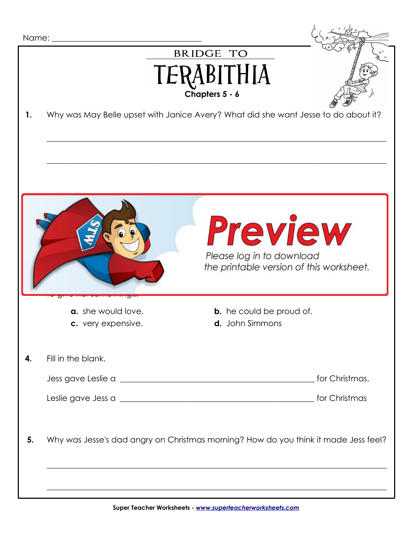|                                                                                         | Name:                                                                               |                                                           |  |
|-----------------------------------------------------------------------------------------|-------------------------------------------------------------------------------------|-----------------------------------------------------------|--|
| 1.                                                                                      | Why was May Belle upset with Janice Avery? What did she want Jesse to do about it?  | <b>BRIDGE TO</b><br>TERABITHIA<br>Chapters 5 - 6          |  |
| <b>Preview</b><br>Please log in to download<br>the printable version of this worksheet. |                                                                                     |                                                           |  |
|                                                                                         | a. she would love.<br>c. very expensive.                                            | <b>b.</b> he could be proud of.<br><b>d.</b> John Simmons |  |
| 4.                                                                                      | Fill in the blank.                                                                  |                                                           |  |
| 5.                                                                                      | Why was Jesse's dad angry on Christmas morning? How do you think it made Jess feel? |                                                           |  |